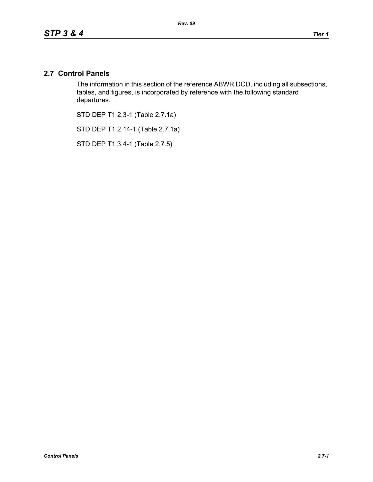## **2.7 Control Panels**

The information in this section of the reference ABWR DCD, including all subsections, tables, and figures, is incorporated by reference with the following standard departures.

STD DEP T1 2.3-1 (Table 2.7.1a)

STD DEP T1 2.14-1 (Table 2.7.1a)

STD DEP T1 3.4-1 (Table 2.7.5)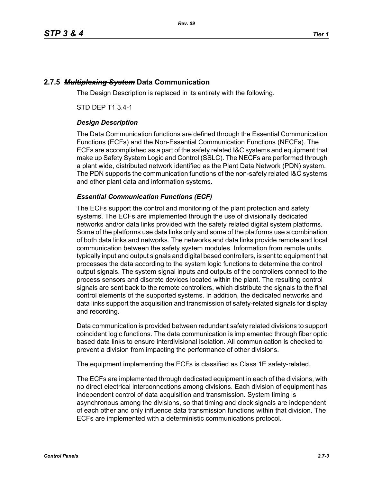# **2.7.5** *Multiplexing System* **Data Communication**

The Design Description is replaced in its entirety with the following.

STD DEP T1 3.4-1

## *Design Description*

The Data Communication functions are defined through the Essential Communication Functions (ECFs) and the Non-Essential Communication Functions (NECFs). The ECFs are accomplished as a part of the safety related I&C systems and equipment that make up Safety System Logic and Control (SSLC). The NECFs are performed through a plant wide, distributed network identified as the Plant Data Network (PDN) system. The PDN supports the communication functions of the non-safety related I&C systems and other plant data and information systems.

## *Essential Communication Functions (ECF)*

The ECFs support the control and monitoring of the plant protection and safety systems. The ECFs are implemented through the use of divisionally dedicated networks and/or data links provided with the safety related digital system platforms. Some of the platforms use data links only and some of the platforms use a combination of both data links and networks. The networks and data links provide remote and local communication between the safety system modules. Information from remote units, typically input and output signals and digital based controllers, is sent to equipment that processes the data according to the system logic functions to determine the control output signals. The system signal inputs and outputs of the controllers connect to the process sensors and discrete devices located within the plant. The resulting control signals are sent back to the remote controllers, which distribute the signals to the final control elements of the supported systems. In addition, the dedicated networks and data links support the acquisition and transmission of safety-related signals for display and recording.

Data communication is provided between redundant safety related divisions to support coincident logic functions. The data communication is implemented through fiber optic based data links to ensure interdivisional isolation. All communication is checked to prevent a division from impacting the performance of other divisions.

The equipment implementing the ECFs is classified as Class 1E safety-related.

The ECFs are implemented through dedicated equipment in each of the divisions, with no direct electrical interconnections among divisions. Each division of equipment has independent control of data acquisition and transmission. System timing is asynchronous among the divisions, so that timing and clock signals are independent of each other and only influence data transmission functions within that division. The ECFs are implemented with a deterministic communications protocol.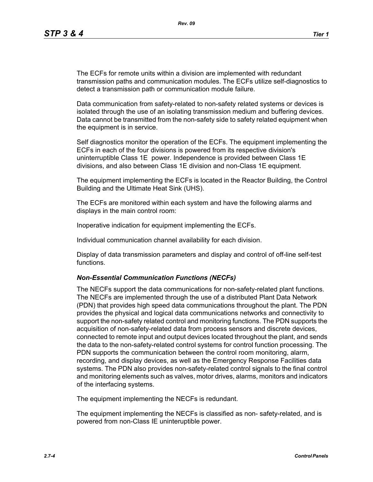The ECFs for remote units within a division are implemented with redundant transmission paths and communication modules. The ECFs utilize self-diagnostics to detect a transmission path or communication module failure.

Data communication from safety-related to non-safety related systems or devices is isolated through the use of an isolating transmission medium and buffering devices. Data cannot be transmitted from the non-safety side to safety related equipment when the equipment is in service.

Self diagnostics monitor the operation of the ECFs. The equipment implementing the ECFs in each of the four divisions is powered from its respective division's uninterruptible Class 1E power. Independence is provided between Class 1E divisions, and also between Class 1E division and non-Class 1E equipment.

The equipment implementing the ECFs is located in the Reactor Building, the Control Building and the Ultimate Heat Sink (UHS).

The ECFs are monitored within each system and have the following alarms and displays in the main control room:

Inoperative indication for equipment implementing the ECFs.

Individual communication channel availability for each division.

Display of data transmission parameters and display and control of off-line self-test functions.

### *Non-Essential Communication Functions (NECFs)*

The NECFs support the data communications for non-safety-related plant functions. The NECFs are implemented through the use of a distributed Plant Data Network (PDN) that provides high speed data communications throughout the plant. The PDN provides the physical and logical data communications networks and connectivity to support the non-safety related control and monitoring functions. The PDN supports the acquisition of non-safety-related data from process sensors and discrete devices, connected to remote input and output devices located throughout the plant, and sends the data to the non-safety-related control systems for control function processing. The PDN supports the communication between the control room monitoring, alarm, recording, and display devices, as well as the Emergency Response Facilities data systems. The PDN also provides non-safety-related control signals to the final control and monitoring elements such as valves, motor drives, alarms, monitors and indicators of the interfacing systems.

The equipment implementing the NECFs is redundant.

The equipment implementing the NECFs is classified as non- safety-related, and is powered from non-Class IE uninteruptible power.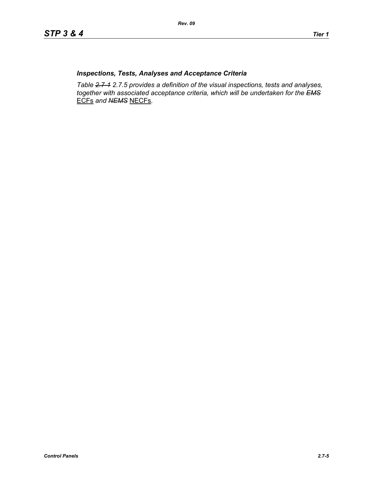## *Inspections, Tests, Analyses and Acceptance Criteria*

*Table 2.7-1 2.7.5 provides a definition of the visual inspections, tests and analyses, together with associated acceptance criteria, which will be undertaken for the EMS* ECFs *and NEMS* NECFs*.*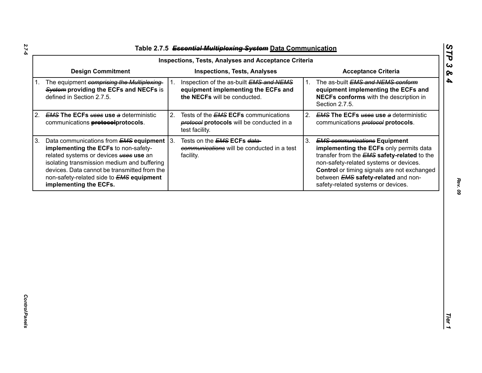| Table 2.7.5 Essential Multiplexing System Data Communication |  |
|--------------------------------------------------------------|--|

|                                                                                                                                                                                                                                                                                                                          | <b>Inspections, Tests, Analyses and Acceptance Criteria</b>                                                             |                                                                                                                                                                                                                                                                                                                         |
|--------------------------------------------------------------------------------------------------------------------------------------------------------------------------------------------------------------------------------------------------------------------------------------------------------------------------|-------------------------------------------------------------------------------------------------------------------------|-------------------------------------------------------------------------------------------------------------------------------------------------------------------------------------------------------------------------------------------------------------------------------------------------------------------------|
| <b>Design Commitment</b>                                                                                                                                                                                                                                                                                                 | <b>Inspections, Tests, Analyses</b>                                                                                     | <b>Acceptance Criteria</b>                                                                                                                                                                                                                                                                                              |
| The equipment comprising the Multiplexing-<br>1.<br>System providing the ECFs and NECFs is<br>defined in Section 2.7.5.                                                                                                                                                                                                  | Inspection of the as-built EMS and NEMS<br>1.<br>equipment implementing the ECFs and<br>the NECFs will be conducted.    | The as-built EMS and NEMS conform<br>1.<br>equipment implementing the ECFs and<br>NECFs conforms with the description in<br>Section 2.7.5.                                                                                                                                                                              |
| <b>EMS The ECFs uses use a deterministic</b><br>2.<br>communications <b>protocolprotocols</b> .                                                                                                                                                                                                                          | 2.<br>Tests of the <b>EMS ECFs</b> communications<br><b>protocol</b> protocols will be conducted in a<br>test facility. | 2.<br><b>EMS The ECFs uses use a deterministic</b><br>communications <b>protocol</b> protocols.                                                                                                                                                                                                                         |
| Data communications from <b>EMS equipment</b><br>3.<br>implementing the ECFs to non-safety-<br>related systems or devices <b>uses</b> use an<br>isolating transmission medium and buffering<br>devices. Data cannot be transmitted from the<br>non-safety-related side to <b>EMS</b> equipment<br>implementing the ECFs. | $\vert 3.$<br>Tests on the <b>EMS ECFs data-</b><br>communications will be conducted in a test<br>facility.             | 3.<br><b>EMS communications Equipment</b><br>implementing the ECFs only permits data<br>transfer from the <b>EMS</b> safety-related to the<br>non-safety-related systems or devices.<br>Control or timing signals are not exchanged<br>between <b>EMS</b> safety-related and non-<br>safety-related systems or devices. |
|                                                                                                                                                                                                                                                                                                                          |                                                                                                                         |                                                                                                                                                                                                                                                                                                                         |

*STP 3 & 4*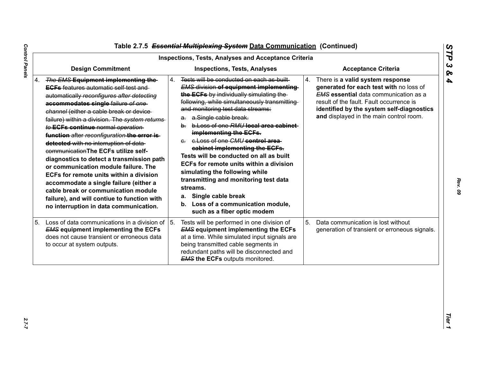|                                                                                                                                                                                                                                                                                                                                                                                                                                                                                                                                                                                                                                                                                                                                                            | <b>Inspections, Tests, Analyses and Acceptance Criteria</b>                                                                                                                                                                                                                                                                                                                                                                                                                                                                                                                                                                                                                             |                                                                                                                                                                                                                                                                       |
|------------------------------------------------------------------------------------------------------------------------------------------------------------------------------------------------------------------------------------------------------------------------------------------------------------------------------------------------------------------------------------------------------------------------------------------------------------------------------------------------------------------------------------------------------------------------------------------------------------------------------------------------------------------------------------------------------------------------------------------------------------|-----------------------------------------------------------------------------------------------------------------------------------------------------------------------------------------------------------------------------------------------------------------------------------------------------------------------------------------------------------------------------------------------------------------------------------------------------------------------------------------------------------------------------------------------------------------------------------------------------------------------------------------------------------------------------------------|-----------------------------------------------------------------------------------------------------------------------------------------------------------------------------------------------------------------------------------------------------------------------|
| <b>Design Commitment</b>                                                                                                                                                                                                                                                                                                                                                                                                                                                                                                                                                                                                                                                                                                                                   | <b>Inspections, Tests, Analyses</b>                                                                                                                                                                                                                                                                                                                                                                                                                                                                                                                                                                                                                                                     | <b>Acceptance Criteria</b>                                                                                                                                                                                                                                            |
| 4. The EMS Equipment implementing the-<br><b>EGFs</b> features automatic self test and<br>automatically reconfigures after detecting<br>accommodates single failure of one-<br>channel (either a cable break or device-<br>failure) within a division. The system returns<br>to ECFs continue normal operation<br>function after reconfiguration the error is-<br>detected with no interruption of data-<br>communication The ECFs utilize self-<br>diagnostics to detect a transmission path<br>or communication module failure. The<br>ECFs for remote units within a division<br>accommodate a single failure (either a<br>cable break or communication module<br>failure), and will contiue to function with<br>no interruption in data communication. | Tests will be conducted on each as built<br>4.<br><b>EMS division of equipment implementing</b><br>the ECFs by individually simulating the<br>following, while simultaneously transmitting<br>and monitoring test data streams:<br>a. a.Single cable break.<br>b. b. Loss of one RMU local area cabinet<br>implementing the ECFs.<br>e. e. Loss of one CMU control area<br>cabinet implementing the ECFs.<br>Tests will be conducted on all as built<br>ECFs for remote units within a division<br>simulating the following while<br>transmitting and monitoring test data<br>streams.<br>Single cable break<br>а.<br>b. Loss of a communication module,<br>such as a fiber optic modem | 4.<br>There is a valid system response<br>generated for each test with no loss of<br><b>EMS</b> essential data communication as a<br>result of the fault. Fault occurrence is<br>identified by the system self-diagnostics<br>and displayed in the main control room. |
| 5. Loss of data communications in a division of<br><b>EMS equipment implementing the ECFs</b><br>does not cause transient or erroneous data<br>to occur at system outputs.                                                                                                                                                                                                                                                                                                                                                                                                                                                                                                                                                                                 | 5.<br>Tests will be performed in one division of<br><b>EMS equipment implementing the ECFs</b><br>at a time. While simulated input signals are<br>being transmitted cable segments in<br>redundant paths will be disconnected and<br><b>EMS the ECFs outputs monitored.</b>                                                                                                                                                                                                                                                                                                                                                                                                             | 5.<br>Data communication is lost without<br>generation of transient or erroneous signals.                                                                                                                                                                             |